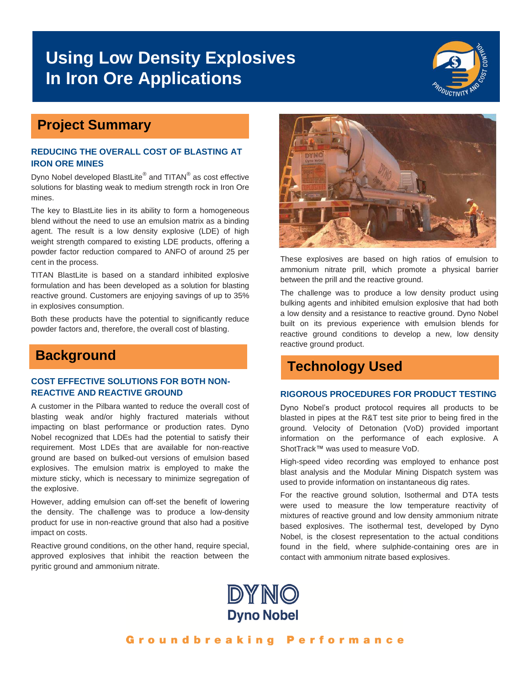# **Using Low Density Explosives In Iron Ore Applications**



## **Project Summary**

### **REDUCING THE OVERALL COST OF BLASTING AT IRON ORE MINES**

Dyno Nobel developed BlastLite® and TITAN® as cost effective solutions for blasting weak to medium strength rock in Iron Ore mines.

The key to BlastLite lies in its ability to form a homogeneous blend without the need to use an emulsion matrix as a binding agent. The result is a low density explosive (LDE) of high weight strength compared to existing LDE products, offering a powder factor reduction compared to ANFO of around 25 per cent in the process.

TITAN BlastLite is based on a standard inhibited explosive formulation and has been developed as a solution for blasting reactive ground. Customers are enjoying savings of up to 35% in explosives consumption.

Both these products have the potential to significantly reduce powder factors and, therefore, the overall cost of blasting.

## **Background**

### **COST EFFECTIVE SOLUTIONS FOR BOTH NON-REACTIVE AND REACTIVE GROUND**

A customer in the Pilbara wanted to reduce the overall cost of blasting weak and/or highly fractured materials without impacting on blast performance or production rates. Dyno Nobel recognized that LDEs had the potential to satisfy their requirement. Most LDEs that are available for non-reactive ground are based on bulked-out versions of emulsion based explosives. The emulsion matrix is employed to make the mixture sticky, which is necessary to minimize segregation of the explosive.

However, adding emulsion can off-set the benefit of lowering the density. The challenge was to produce a low-density product for use in non-reactive ground that also had a positive impact on costs.

Reactive ground conditions, on the other hand, require special, approved explosives that inhibit the reaction between the pyritic ground and ammonium nitrate.



These explosives are based on high ratios of emulsion to ammonium nitrate prill, which promote a physical barrier between the prill and the reactive ground.

The challenge was to produce a low density product using bulking agents and inhibited emulsion explosive that had both a low density and a resistance to reactive ground. Dyno Nobel built on its previous experience with emulsion blends for reactive ground conditions to develop a new, low density reactive ground product.

## **Technology Used**

### **RIGOROUS PROCEDURES FOR PRODUCT TESTING**

Dyno Nobel's product protocol requires all products to be blasted in pipes at the R&T test site prior to being fired in the ground. Velocity of Detonation (VoD) provided important information on the performance of each explosive. A ShotTrack™ was used to measure VoD.

High-speed video recording was employed to enhance post blast analysis and the Modular Mining Dispatch system was used to provide information on instantaneous dig rates.

For the reactive ground solution, Isothermal and DTA tests were used to measure the low temperature reactivity of mixtures of reactive ground and low density ammonium nitrate based explosives. The isothermal test, developed by Dyno Nobel, is the closest representation to the actual conditions found in the field, where sulphide-containing ores are in contact with ammonium nitrate based explosives.